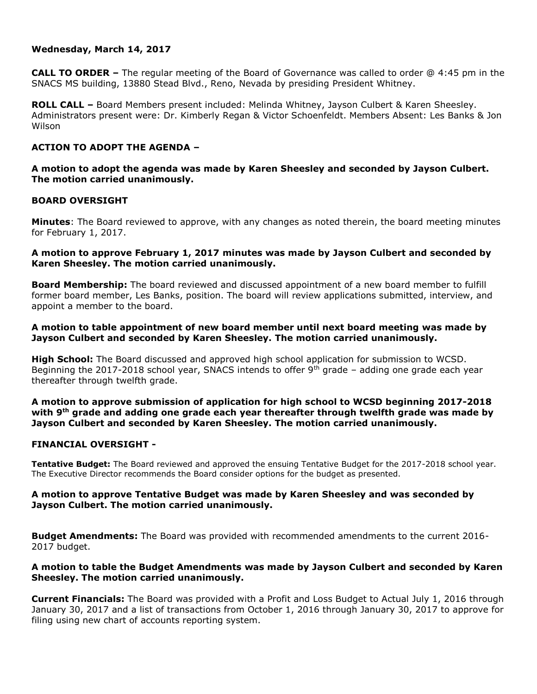## **Wednesday, March 14, 2017**

**CALL TO ORDER –** The regular meeting of the Board of Governance was called to order @ 4:45 pm in the SNACS MS building, 13880 Stead Blvd., Reno, Nevada by presiding President Whitney.

**ROLL CALL –** Board Members present included: Melinda Whitney, Jayson Culbert & Karen Sheesley. Administrators present were: Dr. Kimberly Regan & Victor Schoenfeldt. Members Absent: Les Banks & Jon Wilson

# **ACTION TO ADOPT THE AGENDA –**

**A motion to adopt the agenda was made by Karen Sheesley and seconded by Jayson Culbert. The motion carried unanimously.** 

## **BOARD OVERSIGHT**

**Minutes**: The Board reviewed to approve, with any changes as noted therein, the board meeting minutes for February 1, 2017.

## **A motion to approve February 1, 2017 minutes was made by Jayson Culbert and seconded by Karen Sheesley. The motion carried unanimously.**

**Board Membership:** The board reviewed and discussed appointment of a new board member to fulfill former board member, Les Banks, position. The board will review applications submitted, interview, and appoint a member to the board.

## **A motion to table appointment of new board member until next board meeting was made by Jayson Culbert and seconded by Karen Sheesley. The motion carried unanimously.**

**High School:** The Board discussed and approved high school application for submission to WCSD. Beginning the 2017-2018 school year, SNACS intends to offer  $9<sup>th</sup>$  grade – adding one grade each year thereafter through twelfth grade.

**A motion to approve submission of application for high school to WCSD beginning 2017-2018 with 9th grade and adding one grade each year thereafter through twelfth grade was made by Jayson Culbert and seconded by Karen Sheesley. The motion carried unanimously.** 

## **FINANCIAL OVERSIGHT -**

**Tentative Budget:** The Board reviewed and approved the ensuing Tentative Budget for the 2017-2018 school year. The Executive Director recommends the Board consider options for the budget as presented.

## **A motion to approve Tentative Budget was made by Karen Sheesley and was seconded by Jayson Culbert. The motion carried unanimously.**

**Budget Amendments:** The Board was provided with recommended amendments to the current 2016- 2017 budget.

## **A motion to table the Budget Amendments was made by Jayson Culbert and seconded by Karen Sheesley. The motion carried unanimously.**

**Current Financials:** The Board was provided with a Profit and Loss Budget to Actual July 1, 2016 through January 30, 2017 and a list of transactions from October 1, 2016 through January 30, 2017 to approve for filing using new chart of accounts reporting system.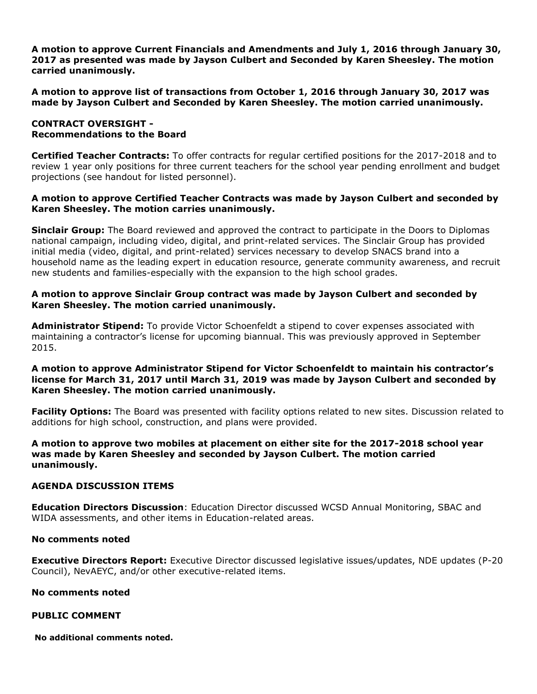**A motion to approve Current Financials and Amendments and July 1, 2016 through January 30, 2017 as presented was made by Jayson Culbert and Seconded by Karen Sheesley. The motion carried unanimously.** 

**A motion to approve list of transactions from October 1, 2016 through January 30, 2017 was made by Jayson Culbert and Seconded by Karen Sheesley. The motion carried unanimously.** 

## **CONTRACT OVERSIGHT - Recommendations to the Board**

**Certified Teacher Contracts:** To offer contracts for regular certified positions for the 2017-2018 and to review 1 year only positions for three current teachers for the school year pending enrollment and budget projections (see handout for listed personnel).

## **A motion to approve Certified Teacher Contracts was made by Jayson Culbert and seconded by Karen Sheesley. The motion carries unanimously.**

**Sinclair Group:** The Board reviewed and approved the contract to participate in the Doors to Diplomas national campaign, including video, digital, and print-related services. The Sinclair Group has provided initial media (video, digital, and print-related) services necessary to develop SNACS brand into a household name as the leading expert in education resource, generate community awareness, and recruit new students and families-especially with the expansion to the high school grades.

# **A motion to approve Sinclair Group contract was made by Jayson Culbert and seconded by Karen Sheesley. The motion carried unanimously.**

**Administrator Stipend:** To provide Victor Schoenfeldt a stipend to cover expenses associated with maintaining a contractor's license for upcoming biannual. This was previously approved in September 2015.

### **A motion to approve Administrator Stipend for Victor Schoenfeldt to maintain his contractor's license for March 31, 2017 until March 31, 2019 was made by Jayson Culbert and seconded by Karen Sheesley. The motion carried unanimously.**

**Facility Options:** The Board was presented with facility options related to new sites. Discussion related to additions for high school, construction, and plans were provided.

## **A motion to approve two mobiles at placement on either site for the 2017-2018 school year was made by Karen Sheesley and seconded by Jayson Culbert. The motion carried unanimously.**

## **AGENDA DISCUSSION ITEMS**

**Education Directors Discussion**: Education Director discussed WCSD Annual Monitoring, SBAC and WIDA assessments, and other items in Education-related areas.

## **No comments noted**

**Executive Directors Report:** Executive Director discussed legislative issues/updates, NDE updates (P-20 Council), NevAEYC, and/or other executive-related items.

## **No comments noted**

## **PUBLIC COMMENT**

**No additional comments noted.**